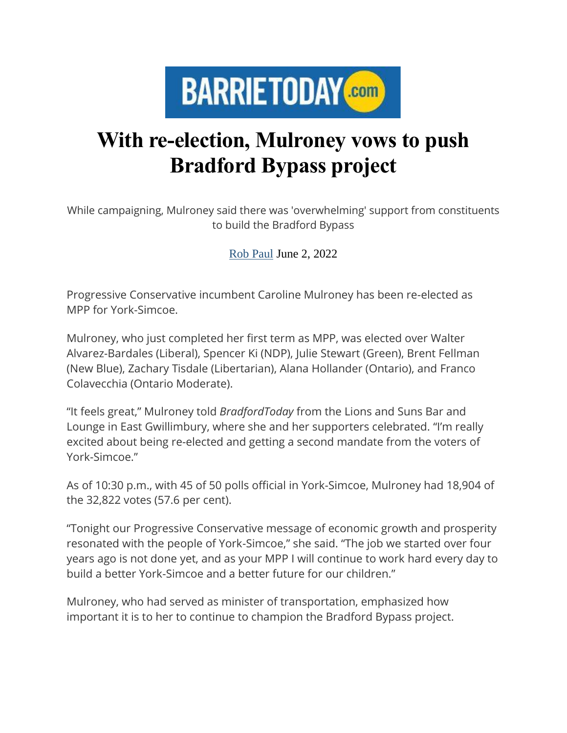

## **With re-election, Mulroney vows to push Bradford Bypass project**

While campaigning, Mulroney said there was 'overwhelming' support from constituents to build the Bradford Bypass

[Rob Paul](https://www.barrietoday.com/writers/rob%20a%20paul) June 2, 2022

Progressive Conservative incumbent Caroline Mulroney has been re-elected as MPP for York-Simcoe.

Mulroney, who just completed her first term as MPP, was elected over Walter Alvarez-Bardales (Liberal), Spencer Ki (NDP), Julie Stewart (Green), Brent Fellman (New Blue), Zachary Tisdale (Libertarian), Alana Hollander (Ontario), and Franco Colavecchia (Ontario Moderate).

"It feels great," Mulroney told *BradfordToday* from the Lions and Suns Bar and Lounge in East Gwillimbury, where she and her supporters celebrated. "I'm really excited about being re-elected and getting a second mandate from the voters of York-Simcoe."

As of 10:30 p.m., with 45 of 50 polls official in York-Simcoe, Mulroney had 18,904 of the 32,822 votes (57.6 per cent).

"Tonight our Progressive Conservative message of economic growth and prosperity resonated with the people of York-Simcoe," she said. "The job we started over four years ago is not done yet, and as your MPP I will continue to work hard every day to build a better York-Simcoe and a better future for our children."

Mulroney, who had served as minister of transportation, emphasized how important it is to her to continue to champion the Bradford Bypass project.